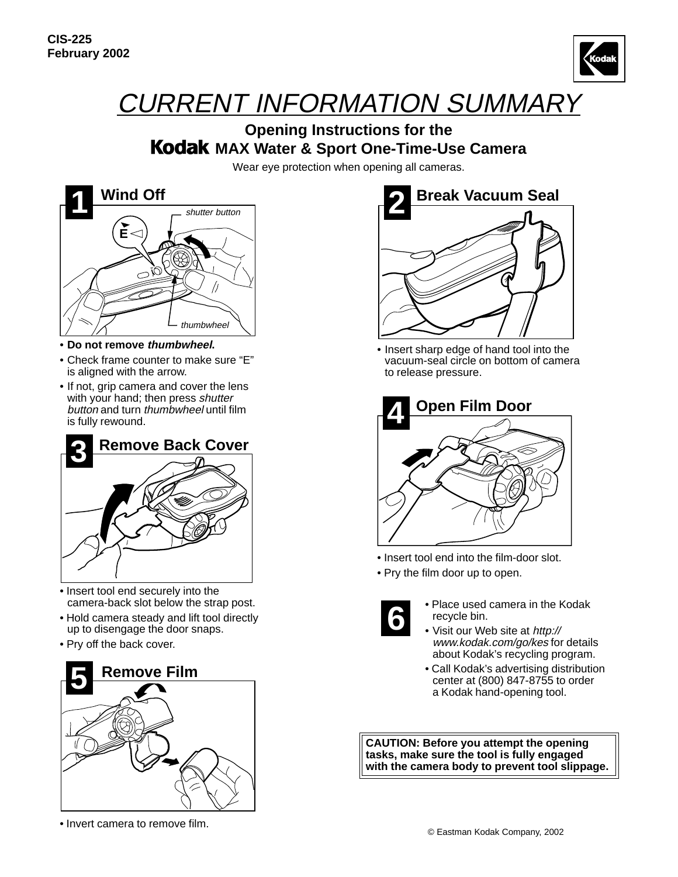

## CURRENT INFORMATION SUMMARY

## **Opening Instructions for the Kodak MAX Water & Sport One-Time-Use Camera**

Wear eye protection when opening all cameras.



- **Do not remove thumbwheel.**
- Check frame counter to make sure "E" is aligned with the arrow.
- If not, grip camera and cover the lens with your hand; then press shutter button and turn thumbwheel until film is fully rewound.



- Insert tool end securely into the camera-back slot below the strap post.
- Hold camera steady and lift tool directly up to disengage the door snaps.
- Pry off the back cover.



• Invert camera to remove film.



• Insert sharp edge of hand tool into the vacuum-seal circle on bottom of camera to release pressure.



- Insert tool end into the film-door slot.
- Pry the film door up to open.



- Place used camera in the Kodak recycle bin.
- Visit our Web site at http:// www.kodak.com/go/kes for details about Kodak's recycling program.
- Call Kodak's advertising distribution center at (800) 847-8755 to order a Kodak hand-opening tool.

**CAUTION: Before you attempt the opening tasks, make sure the tool is fully engaged with the camera body to prevent tool slippage.**